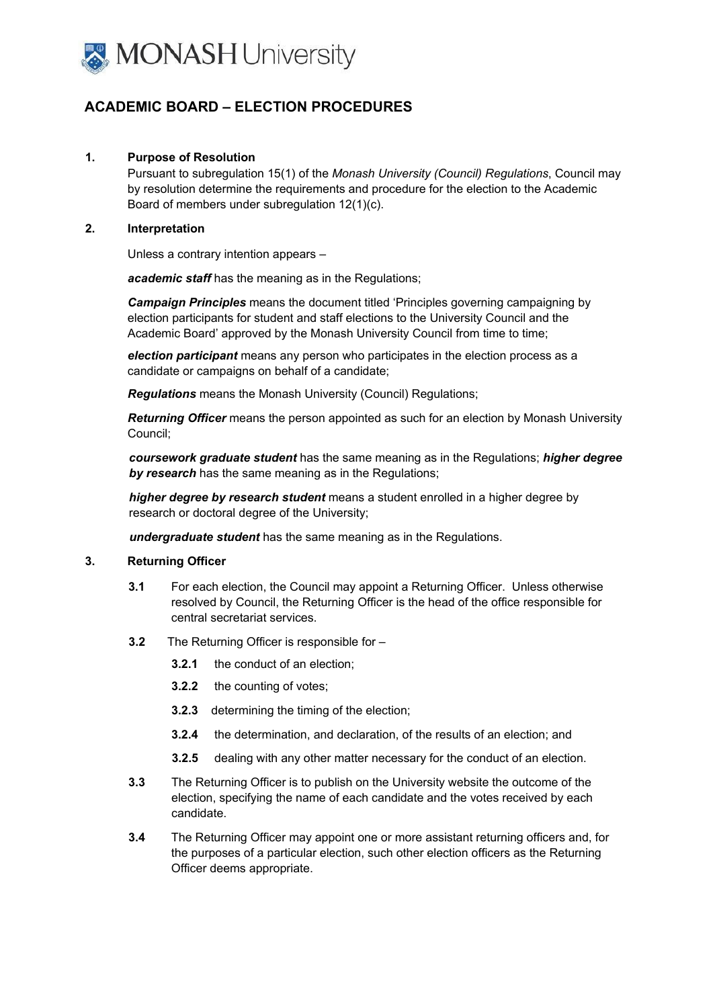

# **ACADEMIC BOARD – ELECTION PROCEDURES**

### **1. Purpose of Resolution**

Pursuant to subregulation 15(1) of the *Monash University (Council) Regulations*, Council may by resolution determine the requirements and procedure for the election to the Academic Board of members under subregulation 12(1)(c).

#### **2. Interpretation**

Unless a contrary intention appears –

*academic staff* has the meaning as in the Regulations;

*Campaign Principles* means the document titled 'Principles governing campaigning by election participants for student and staff elections to the University Council and the Academic Board' approved by the Monash University Council from time to time;

*election participant* means any person who participates in the election process as a candidate or campaigns on behalf of a candidate;

*Regulations* means the Monash University (Council) Regulations;

*Returning Officer* means the person appointed as such for an election by Monash University Council;

*coursework graduate student* has the same meaning as in the Regulations; *higher degree by research* has the same meaning as in the Regulations;

*higher degree by research student* means a student enrolled in a higher degree by research or doctoral degree of the University;

*undergraduate student* has the same meaning as in the Regulations.

#### **3. Returning Officer**

- **3.1** For each election, the Council may appoint a Returning Officer. Unless otherwise resolved by Council, the Returning Officer is the head of the office responsible for central secretariat services.
- **3.2** The Returning Officer is responsible for
	- **3.2.1** the conduct of an election;
	- **3.2.2** the counting of votes;
	- **3.2.3** determining the timing of the election;
	- **3.2.4** the determination, and declaration, of the results of an election; and
	- **3.2.5** dealing with any other matter necessary for the conduct of an election.
- **3.3** The Returning Officer is to publish on the University website the outcome of the election, specifying the name of each candidate and the votes received by each candidate.
- **3.4** The Returning Officer may appoint one or more assistant returning officers and, for the purposes of a particular election, such other election officers as the Returning Officer deems appropriate.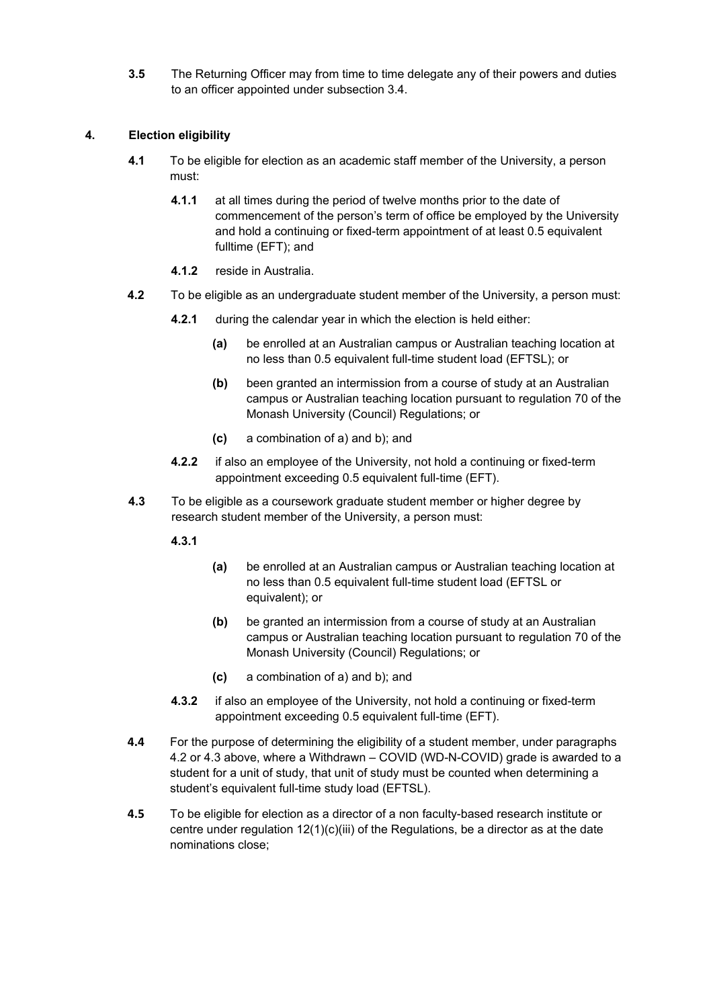**3.5** The Returning Officer may from time to time delegate any of their powers and duties to an officer appointed under subsection 3.4.

### **4. Election eligibility**

- **4.1** To be eligible for election as an academic staff member of the University, a person must:
	- **4.1.1** at all times during the period of twelve months prior to the date of commencement of the person's term of office be employed by the University and hold a continuing or fixed-term appointment of at least 0.5 equivalent fulltime (EFT); and
	- **4.1.2** reside in Australia.
- **4.2** To be eligible as an undergraduate student member of the University, a person must:
	- **4.2.1** during the calendar year in which the election is held either:
		- **(a)** be enrolled at an Australian campus or Australian teaching location at no less than 0.5 equivalent full-time student load (EFTSL); or
		- **(b)** been granted an intermission from a course of study at an Australian campus or Australian teaching location pursuant to regulation 70 of the Monash University (Council) Regulations; or
		- **(c)** a combination of a) and b); and
	- **4.2.2** if also an employee of the University, not hold a continuing or fixed-term appointment exceeding 0.5 equivalent full-time (EFT).
- **4.3** To be eligible as a coursework graduate student member or higher degree by research student member of the University, a person must:

**4.3.1** 

- **(a)** be enrolled at an Australian campus or Australian teaching location at no less than 0.5 equivalent full-time student load (EFTSL or equivalent); or
- **(b)** be granted an intermission from a course of study at an Australian campus or Australian teaching location pursuant to regulation 70 of the Monash University (Council) Regulations; or
- **(c)** a combination of a) and b); and
- **4.3.2** if also an employee of the University, not hold a continuing or fixed-term appointment exceeding 0.5 equivalent full-time (EFT).
- **4.4** For the purpose of determining the eligibility of a student member, under paragraphs 4.2 or 4.3 above, where a Withdrawn – COVID (WD-N-COVID) grade is awarded to a student for a unit of study, that unit of study must be counted when determining a student's equivalent full-time study load (EFTSL).
- **4.5** To be eligible for election as a director of a non faculty-based research institute or centre under regulation  $12(1)(c)(iii)$  of the Regulations, be a director as at the date nominations close;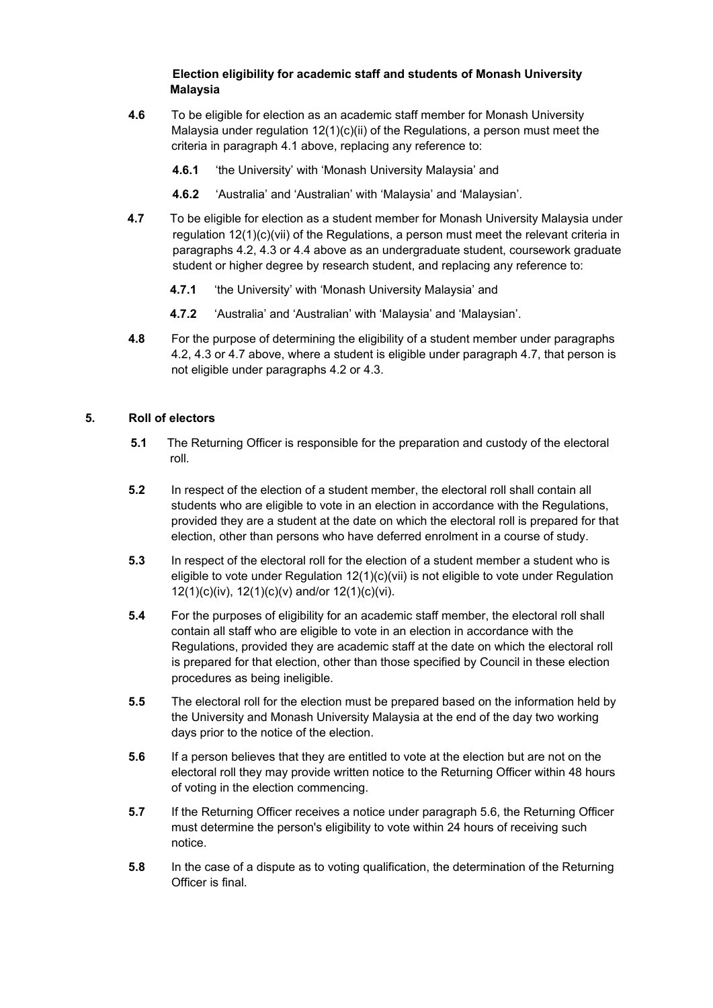### **Election eligibility for academic staff and students of Monash University Malaysia**

- **4.6** To be eligible for election as an academic staff member for Monash University Malaysia under regulation  $12(1)(c)(ii)$  of the Regulations, a person must meet the criteria in paragraph 4.1 above, replacing any reference to:
	- **4.6.1** 'the University' with 'Monash University Malaysia' and
	- **4.6.2** 'Australia' and 'Australian' with 'Malaysia' and 'Malaysian'.
- **4.7** To be eligible for election as a student member for Monash University Malaysia under regulation 12(1)(c)(vii) of the Regulations, a person must meet the relevant criteria in paragraphs 4.2, 4.3 or 4.4 above as an undergraduate student, coursework graduate student or higher degree by research student, and replacing any reference to:
	- **4.7.1** 'the University' with 'Monash University Malaysia' and
	- **4.7.2** 'Australia' and 'Australian' with 'Malaysia' and 'Malaysian'.
- **4.8** For the purpose of determining the eligibility of a student member under paragraphs 4.2, 4.3 or 4.7 above, where a student is eligible under paragraph 4.7, that person is not eligible under paragraphs 4.2 or 4.3.

# **5. Roll of electors**

- **5.1** The Returning Officer is responsible for the preparation and custody of the electoral roll.
- **5.2** In respect of the election of a student member, the electoral roll shall contain all students who are eligible to vote in an election in accordance with the Regulations, provided they are a student at the date on which the electoral roll is prepared for that election, other than persons who have deferred enrolment in a course of study.
- **5.3** In respect of the electoral roll for the election of a student member a student who is eligible to vote under Regulation 12(1)(c)(vii) is not eligible to vote under Regulation 12(1)(c)(iv), 12(1)(c)(v) and/or 12(1)(c)(vi).
- **5.4** For the purposes of eligibility for an academic staff member, the electoral roll shall contain all staff who are eligible to vote in an election in accordance with the Regulations, provided they are academic staff at the date on which the electoral roll is prepared for that election, other than those specified by Council in these election procedures as being ineligible.
- **5.5** The electoral roll for the election must be prepared based on the information held by the University and Monash University Malaysia at the end of the day two working days prior to the notice of the election.
- **5.6** If a person believes that they are entitled to vote at the election but are not on the electoral roll they may provide written notice to the Returning Officer within 48 hours of voting in the election commencing.
- **5.7** If the Returning Officer receives a notice under paragraph 5.6, the Returning Officer must determine the person's eligibility to vote within 24 hours of receiving such notice.
- **5.8** In the case of a dispute as to voting qualification, the determination of the Returning Officer is final.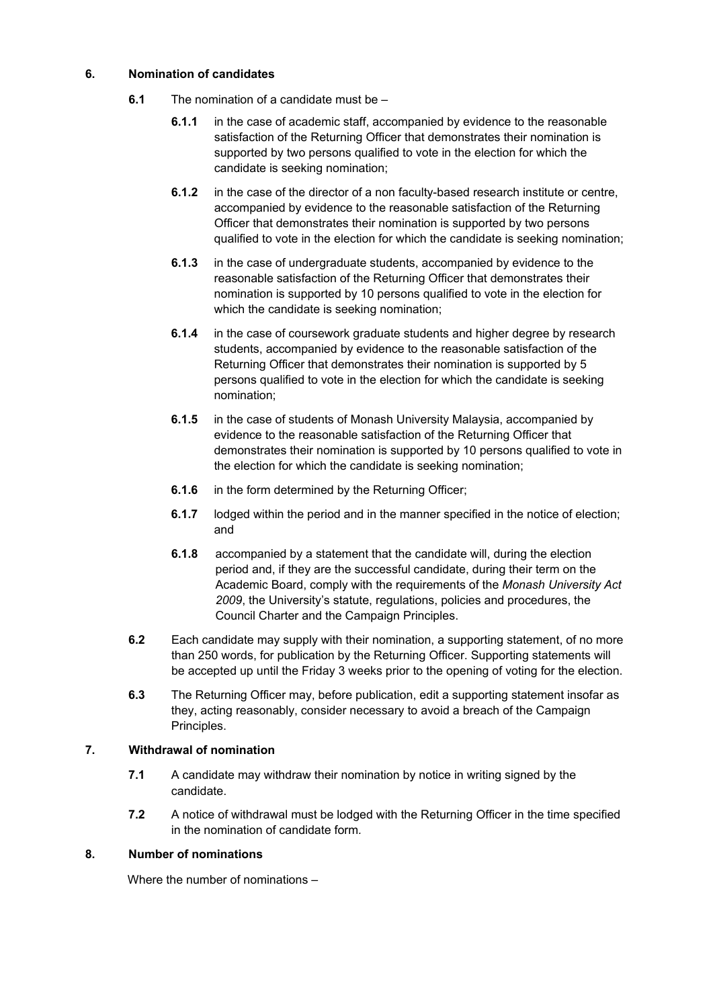### **6. Nomination of candidates**

- **6.1** The nomination of a candidate must be
	- **6.1.1** in the case of academic staff, accompanied by evidence to the reasonable satisfaction of the Returning Officer that demonstrates their nomination is supported by two persons qualified to vote in the election for which the candidate is seeking nomination;
	- **6.1.2** in the case of the director of a non faculty-based research institute or centre, accompanied by evidence to the reasonable satisfaction of the Returning Officer that demonstrates their nomination is supported by two persons qualified to vote in the election for which the candidate is seeking nomination;
	- **6.1.3** in the case of undergraduate students, accompanied by evidence to the reasonable satisfaction of the Returning Officer that demonstrates their nomination is supported by 10 persons qualified to vote in the election for which the candidate is seeking nomination;
	- **6.1.4** in the case of coursework graduate students and higher degree by research students, accompanied by evidence to the reasonable satisfaction of the Returning Officer that demonstrates their nomination is supported by 5 persons qualified to vote in the election for which the candidate is seeking nomination;
	- **6.1.5** in the case of students of Monash University Malaysia, accompanied by evidence to the reasonable satisfaction of the Returning Officer that demonstrates their nomination is supported by 10 persons qualified to vote in the election for which the candidate is seeking nomination;
	- **6.1.6** in the form determined by the Returning Officer;
	- **6.1.7** lodged within the period and in the manner specified in the notice of election; and
	- **6.1.8** accompanied by a statement that the candidate will, during the election period and, if they are the successful candidate, during their term on the Academic Board, comply with the requirements of the *Monash University Act 2009*, the University's statute, regulations, policies and procedures, the Council Charter and the Campaign Principles.
- **6.2** Each candidate may supply with their nomination, a supporting statement, of no more than 250 words, for publication by the Returning Officer. Supporting statements will be accepted up until the Friday 3 weeks prior to the opening of voting for the election.
- **6.3** The Returning Officer may, before publication, edit a supporting statement insofar as they, acting reasonably, consider necessary to avoid a breach of the Campaign Principles.

# **7. Withdrawal of nomination**

- **7.1** A candidate may withdraw their nomination by notice in writing signed by the candidate.
- **7.2** A notice of withdrawal must be lodged with the Returning Officer in the time specified in the nomination of candidate form*.*

# **8. Number of nominations**

Where the number of nominations –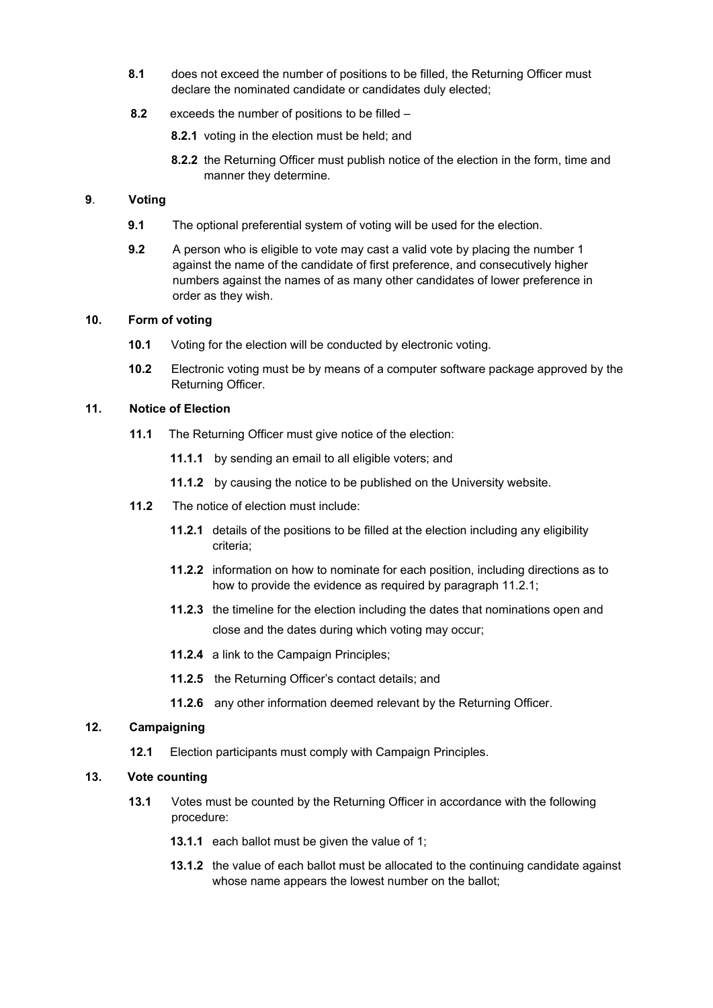- **8.1** does not exceed the number of positions to be filled, the Returning Officer must declare the nominated candidate or candidates duly elected;
- **8.2** exceeds the number of positions to be filled
	- **8.2.1** voting in the election must be held; and
	- **8.2.2** the Returning Officer must publish notice of the election in the form, time and manner they determine.

### **9**. **Voting**

- **9.1** The optional preferential system of voting will be used for the election.
- **9.2** A person who is eligible to vote may cast a valid vote by placing the number 1 against the name of the candidate of first preference, and consecutively higher numbers against the names of as many other candidates of lower preference in order as they wish.

### **10. Form of voting**

- **10.1** Voting for the election will be conducted by electronic voting.
- **10.2** Electronic voting must be by means of a computer software package approved by the Returning Officer.

### **11. Notice of Election**

- **11.1** The Returning Officer must give notice of the election:
	- **11.1.1** by sending an email to all eligible voters; and
	- **11.1.2** by causing the notice to be published on the University website.
- **11.2** The notice of election must include:
	- **11.2.1** details of the positions to be filled at the election including any eligibility criteria;
	- **11.2.2** information on how to nominate for each position, including directions as to how to provide the evidence as required by paragraph 11.2.1;
	- **11.2.3** the timeline for the election including the dates that nominations open and close and the dates during which voting may occur;
	- **11.2.4** a link to the Campaign Principles;
	- **11.2.5** the Returning Officer's contact details; and
	- **11.2.6** any other information deemed relevant by the Returning Officer.

### **12. Campaigning**

**12.1** Election participants must comply with Campaign Principles.

### **13. Vote counting**

- **13.1** Votes must be counted by the Returning Officer in accordance with the following procedure:
	- **13.1.1** each ballot must be given the value of 1;
	- **13.1.2** the value of each ballot must be allocated to the continuing candidate against whose name appears the lowest number on the ballot;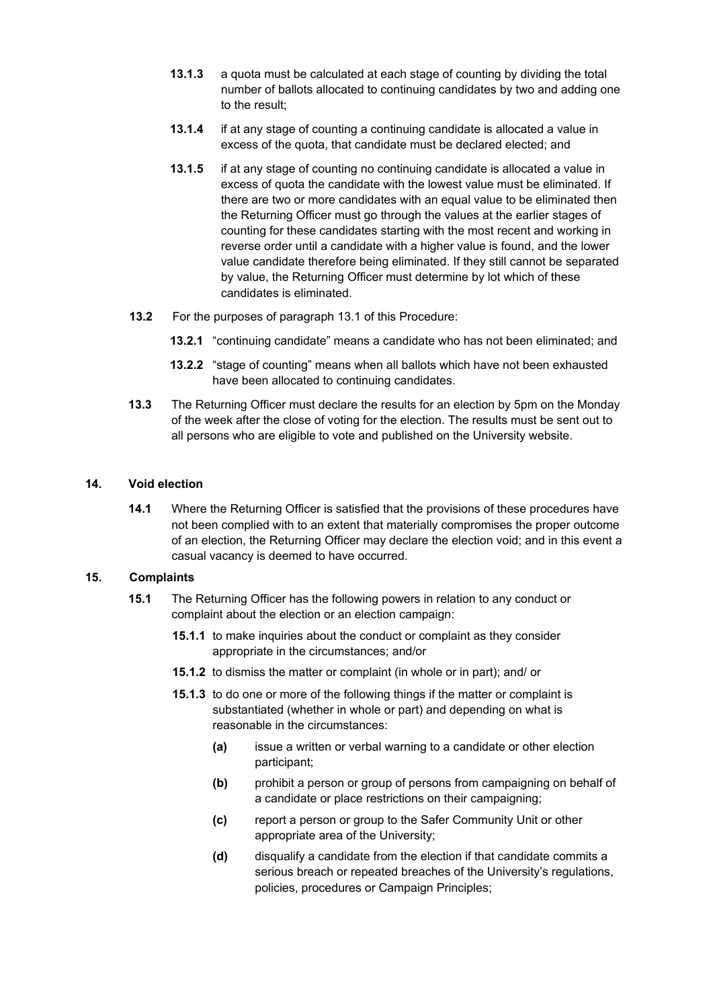- **13.1.3** a quota must be calculated at each stage of counting by dividing the total number of ballots allocated to continuing candidates by two and adding one to the result;
- **13.1.4** if at any stage of counting a continuing candidate is allocated a value in excess of the quota, that candidate must be declared elected; and
- **13.1.5** if at any stage of counting no continuing candidate is allocated a value in excess of quota the candidate with the lowest value must be eliminated. If there are two or more candidates with an equal value to be eliminated then the Returning Officer must go through the values at the earlier stages of counting for these candidates starting with the most recent and working in reverse order until a candidate with a higher value is found, and the lower value candidate therefore being eliminated. If they still cannot be separated by value, the Returning Officer must determine by lot which of these candidates is eliminated.
- **13.2** For the purposes of paragraph 13.1 of this Procedure:
	- **13.2.1** "continuing candidate" means a candidate who has not been eliminated; and
	- **13.2.2** "stage of counting" means when all ballots which have not been exhausted have been allocated to continuing candidates.
- **13.3** The Returning Officer must declare the results for an election by 5pm on the Monday of the week after the close of voting for the election. The results must be sent out to all persons who are eligible to vote and published on the University website.

### **14. Void election**

**14.1** Where the Returning Officer is satisfied that the provisions of these procedures have not been complied with to an extent that materially compromises the proper outcome of an election, the Returning Officer may declare the election void; and in this event a casual vacancy is deemed to have occurred.

#### **15. Complaints**

- **15.1** The Returning Officer has the following powers in relation to any conduct or complaint about the election or an election campaign:
	- **15.1.1** to make inquiries about the conduct or complaint as they consider appropriate in the circumstances; and/or
	- **15.1.2** to dismiss the matter or complaint (in whole or in part); and/ or
	- **15.1.3** to do one or more of the following things if the matter or complaint is substantiated (whether in whole or part) and depending on what is reasonable in the circumstances:
		- **(a)** issue a written or verbal warning to a candidate or other election participant;
		- **(b)** prohibit a person or group of persons from campaigning on behalf of a candidate or place restrictions on their campaigning;
		- **(c)** report a person or group to the Safer Community Unit or other appropriate area of the University;
		- **(d)** disqualify a candidate from the election if that candidate commits a serious breach or repeated breaches of the University's regulations, policies, procedures or Campaign Principles;